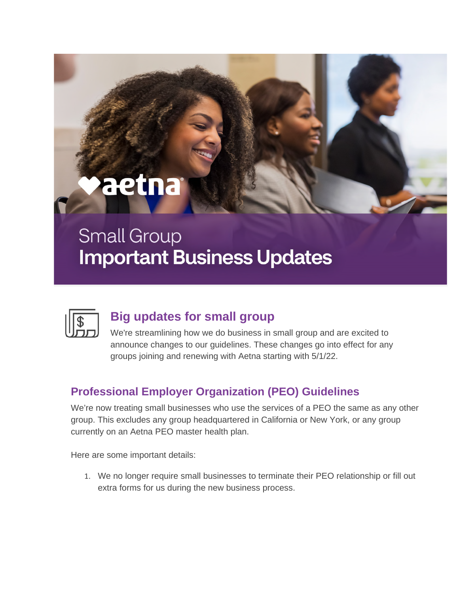# aetna

## **Small Group Important Business Updates**



#### **Big updates for small group**

We're streamlining how we do business in small group and are excited to announce changes to our guidelines. These changes go into effect for any groups joining and renewing with Aetna starting with 5/1/22.

### **Professional Employer Organization (PEO) Guidelines**

We're now treating small businesses who use the services of a PEO the same as any other group. This excludes any group headquartered in California or New York, or any group currently on an Aetna PEO master health plan.

Here are some important details:

1. We no longer require small businesses to terminate their PEO relationship or fill out extra forms for us during the new business process.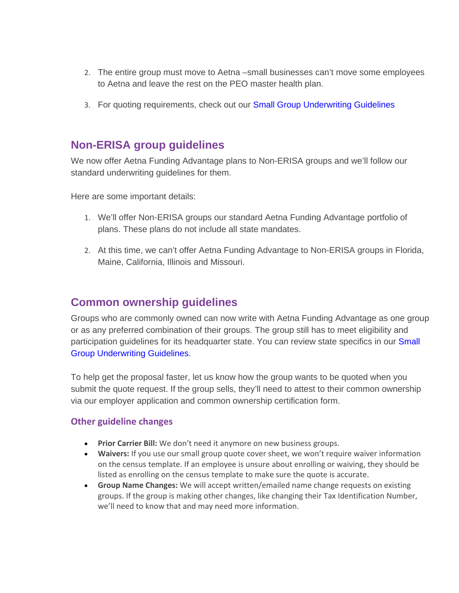- 2. The entire group must move to Aetna –small businesses can't move some employees to Aetna and leave the rest on the PEO master health plan.
- 3. For quoting requirements, check out our [Small Group Underwriting Guidelines](https://nam04.safelinks.protection.outlook.com/?url=https%3A%2F%2Flinks.mkt2614.com%2Fels%2Fv2%2FV29aJxVpzrsk%2FUmxsK1dFczJUeUFTNDNGcTF6cVZqUnJwOVRRUlVHQlhEQ0NCMUUzWDg5bGFSVmFmQUhIQTdUSUdaNjVkcFg3QVBjZWMzTVQ0bm9RWC9NazJYdk5wNDRsNEdia3pYcXUySU9FYjYxb2QweWs9S0&data=05%7C01%7Cpatrick.donahoe%40amwins.com%7C2fe087ed051244d4408208da2f7bcda4%7Cadf1e1f55c6e450ea1688f4de1d6740b%7C1%7C0%7C637874506024084011%7CUnknown%7CTWFpbGZsb3d8eyJWIjoiMC4wLjAwMDAiLCJQIjoiV2luMzIiLCJBTiI6Ik1haWwiLCJXVCI6Mn0%3D%7C3000%7C%7C%7C&sdata=r6YEnNfst4X%2B9jPbM%2Bne5GJIoQFzwO%2FOvcesOyUuthc%3D&reserved=0)

#### **Non-ERISA group guidelines**

We now offer Aetna Funding Advantage plans to Non-ERISA groups and we'll follow our standard underwriting guidelines for them.

Here are some important details:

- 1. We'll offer Non-ERISA groups our standard Aetna Funding Advantage portfolio of plans. These plans do not include all state mandates.
- 2. At this time, we can't offer Aetna Funding Advantage to Non-ERISA groups in Florida, Maine, California, Illinois and Missouri.

#### **Common ownership guidelines**

Groups who are commonly owned can now write with Aetna Funding Advantage as one group or as any preferred combination of their groups. The group still has to meet eligibility and participation guidelines for its headquarter state. You can review state specifics in our Small [Group Underwriting Guidelines.](https://nam04.safelinks.protection.outlook.com/?url=https%3A%2F%2Flinks.mkt2614.com%2Fels%2Fv2%2Fym~LSKv6YwMW%2FUmxsK1dFczJUeUFTNDNGcTF6cVZqUnJwOVRRUlVHQlhEQ0NCMUUzWDg5bGFSVmFmQUhIQTdUSUdaNjVkcFg3QVBjZWMzTVQ0bm9RWC9NazJYdk5wNDRsNEdia3pYcXUySU9FYjYxb2QweWs9S0&data=05%7C01%7Cpatrick.donahoe%40amwins.com%7C2fe087ed051244d4408208da2f7bcda4%7Cadf1e1f55c6e450ea1688f4de1d6740b%7C1%7C0%7C637874506024084011%7CUnknown%7CTWFpbGZsb3d8eyJWIjoiMC4wLjAwMDAiLCJQIjoiV2luMzIiLCJBTiI6Ik1haWwiLCJXVCI6Mn0%3D%7C3000%7C%7C%7C&sdata=4v%2BMiuuqcaqWFArZQW7%2BemJQ3Cyq5%2BGMbSl3ZR6vt0w%3D&reserved=0)

To help get the proposal faster, let us know how the group wants to be quoted when you submit the quote request. If the group sells, they'll need to attest to their common ownership via our employer application and common ownership certification form.

#### **Other guideline changes**

- **Prior Carrier Bill:** We don't need it anymore on new business groups.
- **Waivers:** If you use our small group quote cover sheet, we won't require waiver information on the census template. If an employee is unsure about enrolling or waiving, they should be listed as enrolling on the census template to make sure the quote is accurate.
- **Group Name Changes:** We will accept written/emailed name change requests on existing groups. If the group is making other changes, like changing their Tax Identification Number, we'll need to know that and may need more information.